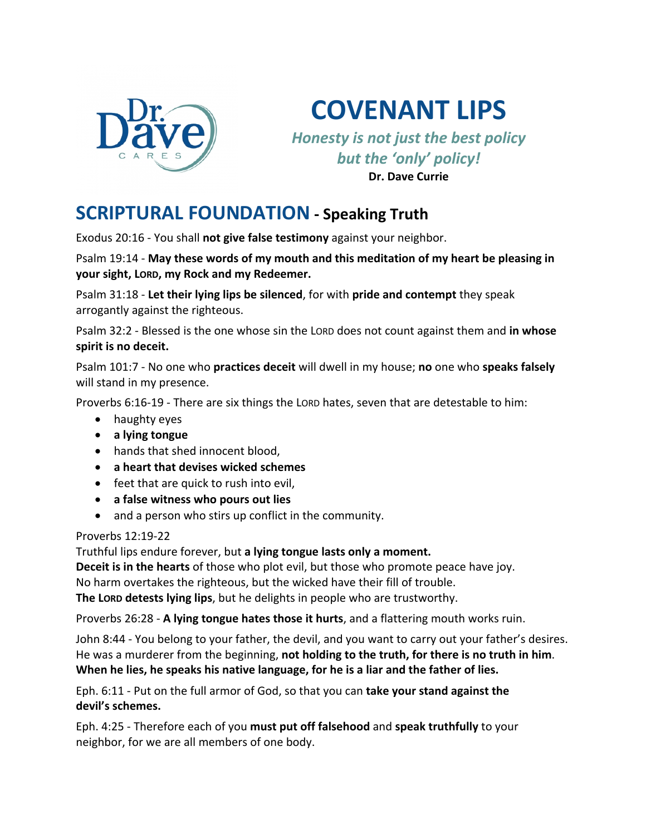

**COVENANT LIPS**

*Honesty is not just the best policy but the 'only' policy!* **Dr. Dave Currie**

# **SCRIPTURAL FOUNDATION - Speaking Truth**

Exodus 20:16 - You shall **not give false testimony** against your neighbor.

Psalm 19:14 - **May these words of my mouth and this meditation of my heart be pleasing in your sight, LORD, my Rock and my Redeemer.**

Psalm 31:18 - **Let their lying lips be silenced**, for with **pride and contempt** they speak arrogantly against the righteous.

Psalm 32:2 - Blessed is the one whose sin the LORD does not count against them and **in whose spirit is no deceit.**

Psalm 101:7 - No one who **practices deceit** will dwell in my house; **no** one who **speaks falsely** will stand in my presence.

Proverbs 6:16-19 - There are six things the LORD hates, seven that are detestable to him:

- haughty eyes
- **a lying tongue**
- hands that shed innocent blood,
- **a heart that devises wicked schemes**
- feet that are quick to rush into evil,
- **a false witness who pours out lies**
- and a person who stirs up conflict in the community.

#### Proverbs 12:19-22

Truthful lips endure forever, but **a lying tongue lasts only a moment.**

**Deceit is in the hearts** of those who plot evil, but those who promote peace have joy. No harm overtakes the righteous, but the wicked have their fill of trouble.

**The LORD detests lying lips**, but he delights in people who are trustworthy.

Proverbs 26:28 - **A lying tongue hates those it hurts**, and a flattering mouth works ruin.

John 8:44 - You belong to your father, the devil, and you want to carry out your father's desires. He was a murderer from the beginning, **not holding to the truth, for there is no truth in him**. **When he lies, he speaks his native language, for he is a liar and the father of lies.**

Eph. 6:11 - Put on the full armor of God, so that you can **take your stand against the devil's schemes.**

Eph. 4:25 - Therefore each of you **must put off falsehood** and **speak truthfully** to your neighbor, for we are all members of one body.